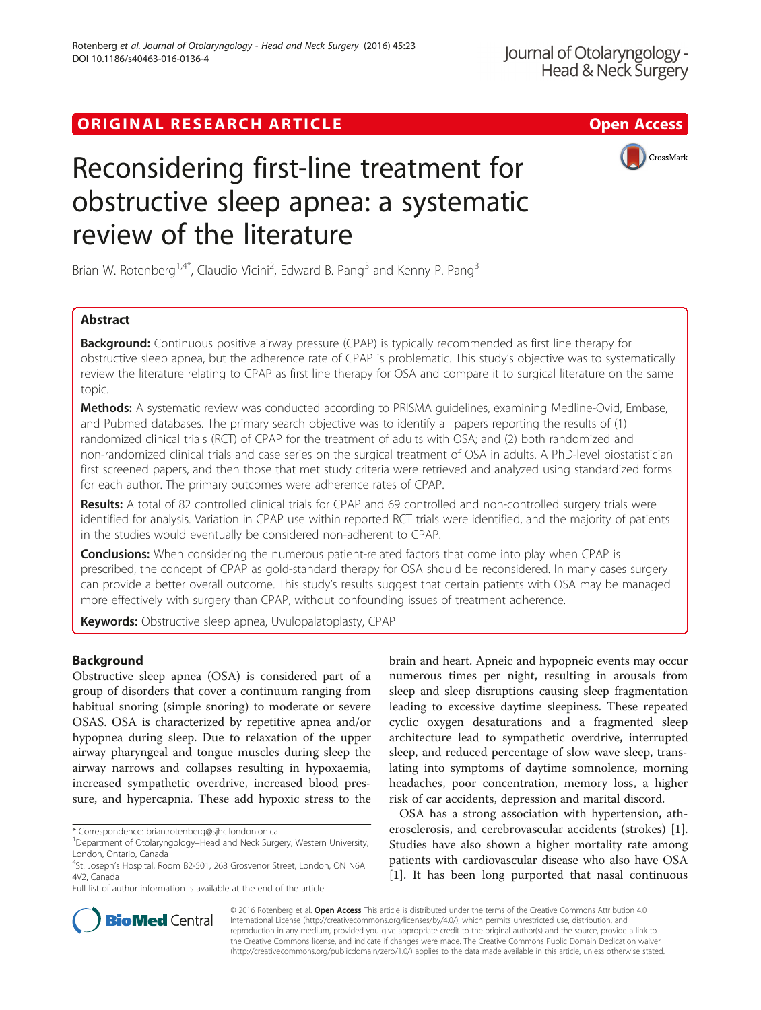# ORIGINAL RESEARCH ARTICLE **External of the Contract Contract Contract Contract Contract Contract Contract Contract Contract Contract Contract Contract Contract Contract Contract Contract Contract Contract Contract Contract**



# Reconsidering first-line treatment for obstructive sleep apnea: a systematic review of the literature

Brian W. Rotenberg<sup>1,4\*</sup>, Claudio Vicini<sup>2</sup>, Edward B. Pang<sup>3</sup> and Kenny P. Pang<sup>3</sup>

# Abstract

**Background:** Continuous positive airway pressure (CPAP) is typically recommended as first line therapy for obstructive sleep apnea, but the adherence rate of CPAP is problematic. This study's objective was to systematically review the literature relating to CPAP as first line therapy for OSA and compare it to surgical literature on the same topic.

Methods: A systematic review was conducted according to PRISMA guidelines, examining Medline-Ovid, Embase, and Pubmed databases. The primary search objective was to identify all papers reporting the results of (1) randomized clinical trials (RCT) of CPAP for the treatment of adults with OSA; and (2) both randomized and non-randomized clinical trials and case series on the surgical treatment of OSA in adults. A PhD-level biostatistician first screened papers, and then those that met study criteria were retrieved and analyzed using standardized forms for each author. The primary outcomes were adherence rates of CPAP.

Results: A total of 82 controlled clinical trials for CPAP and 69 controlled and non-controlled surgery trials were identified for analysis. Variation in CPAP use within reported RCT trials were identified, and the majority of patients in the studies would eventually be considered non-adherent to CPAP.

**Conclusions:** When considering the numerous patient-related factors that come into play when CPAP is prescribed, the concept of CPAP as gold-standard therapy for OSA should be reconsidered. In many cases surgery can provide a better overall outcome. This study's results suggest that certain patients with OSA may be managed more effectively with surgery than CPAP, without confounding issues of treatment adherence.

Keywords: Obstructive sleep apnea, Uvulopalatoplasty, CPAP

# Background

Obstructive sleep apnea (OSA) is considered part of a group of disorders that cover a continuum ranging from habitual snoring (simple snoring) to moderate or severe OSAS. OSA is characterized by repetitive apnea and/or hypopnea during sleep. Due to relaxation of the upper airway pharyngeal and tongue muscles during sleep the airway narrows and collapses resulting in hypoxaemia, increased sympathetic overdrive, increased blood pressure, and hypercapnia. These add hypoxic stress to the

\* Correspondence: [brian.rotenberg@sjhc.london.on.ca](mailto:brian.rotenberg@sjhc.london.on.ca) <sup>1</sup>

Full list of author information is available at the end of the article

brain and heart. Apneic and hypopneic events may occur numerous times per night, resulting in arousals from sleep and sleep disruptions causing sleep fragmentation leading to excessive daytime sleepiness. These repeated cyclic oxygen desaturations and a fragmented sleep architecture lead to sympathetic overdrive, interrupted sleep, and reduced percentage of slow wave sleep, translating into symptoms of daytime somnolence, morning headaches, poor concentration, memory loss, a higher risk of car accidents, depression and marital discord.

OSA has a strong association with hypertension, atherosclerosis, and cerebrovascular accidents (strokes) [\[1](#page-5-0)]. Studies have also shown a higher mortality rate among patients with cardiovascular disease who also have OSA [[1\]](#page-5-0). It has been long purported that nasal continuous



© 2016 Rotenberg et al. Open Access This article is distributed under the terms of the Creative Commons Attribution 4.0 International License [\(http://creativecommons.org/licenses/by/4.0/](http://creativecommons.org/licenses/by/4.0/)), which permits unrestricted use, distribution, and reproduction in any medium, provided you give appropriate credit to the original author(s) and the source, provide a link to the Creative Commons license, and indicate if changes were made. The Creative Commons Public Domain Dedication waiver [\(http://creativecommons.org/publicdomain/zero/1.0/](http://creativecommons.org/publicdomain/zero/1.0/)) applies to the data made available in this article, unless otherwise stated.

Department of Otolaryngology–Head and Neck Surgery, Western University, London, Ontario, Canada

<sup>&</sup>lt;sup>4</sup>St. Joseph's Hospital, Room B2-501, 268 Grosvenor Street, London, ON N6A 4V2, Canada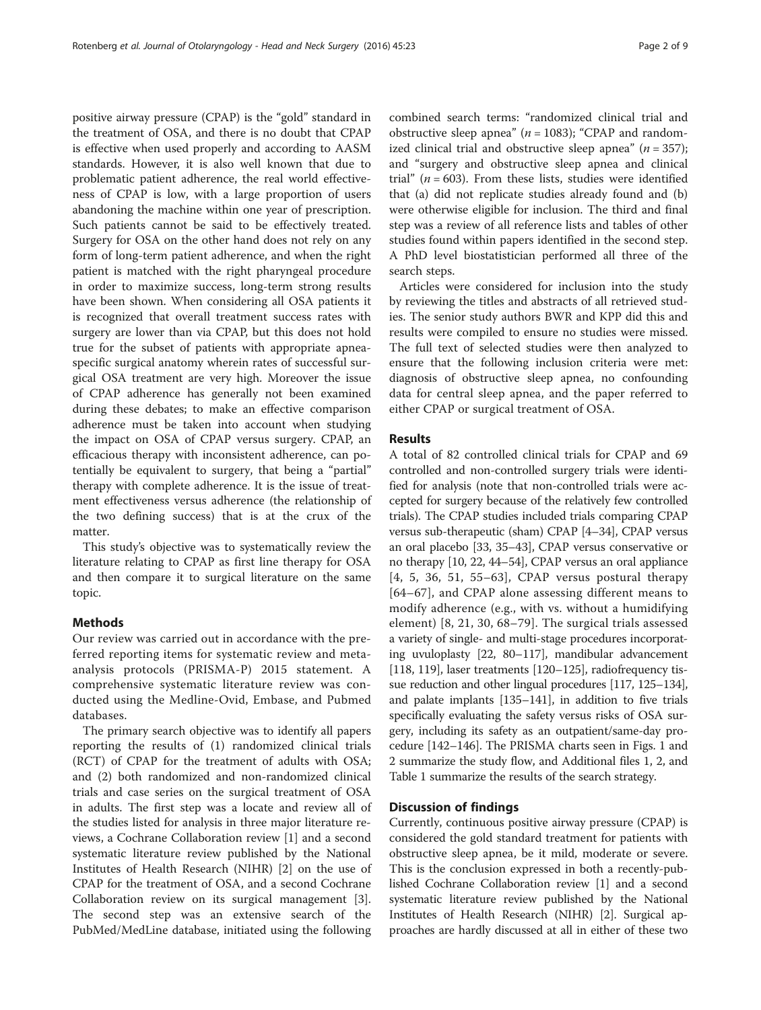positive airway pressure (CPAP) is the "gold" standard in the treatment of OSA, and there is no doubt that CPAP is effective when used properly and according to AASM standards. However, it is also well known that due to problematic patient adherence, the real world effectiveness of CPAP is low, with a large proportion of users abandoning the machine within one year of prescription. Such patients cannot be said to be effectively treated. Surgery for OSA on the other hand does not rely on any form of long-term patient adherence, and when the right patient is matched with the right pharyngeal procedure in order to maximize success, long-term strong results have been shown. When considering all OSA patients it is recognized that overall treatment success rates with surgery are lower than via CPAP, but this does not hold true for the subset of patients with appropriate apneaspecific surgical anatomy wherein rates of successful surgical OSA treatment are very high. Moreover the issue of CPAP adherence has generally not been examined during these debates; to make an effective comparison adherence must be taken into account when studying the impact on OSA of CPAP versus surgery. CPAP, an efficacious therapy with inconsistent adherence, can potentially be equivalent to surgery, that being a "partial" therapy with complete adherence. It is the issue of treatment effectiveness versus adherence (the relationship of the two defining success) that is at the crux of the matter.

This study's objective was to systematically review the literature relating to CPAP as first line therapy for OSA and then compare it to surgical literature on the same topic.

# **Methods**

Our review was carried out in accordance with the preferred reporting items for systematic review and metaanalysis protocols (PRISMA-P) 2015 statement. A comprehensive systematic literature review was conducted using the Medline-Ovid, Embase, and Pubmed databases.

The primary search objective was to identify all papers reporting the results of (1) randomized clinical trials (RCT) of CPAP for the treatment of adults with OSA; and (2) both randomized and non-randomized clinical trials and case series on the surgical treatment of OSA in adults. The first step was a locate and review all of the studies listed for analysis in three major literature reviews, a Cochrane Collaboration review [\[1](#page-5-0)] and a second systematic literature review published by the National Institutes of Health Research (NIHR) [\[2\]](#page-5-0) on the use of CPAP for the treatment of OSA, and a second Cochrane Collaboration review on its surgical management [\[3](#page-5-0)]. The second step was an extensive search of the PubMed/MedLine database, initiated using the following

combined search terms: "randomized clinical trial and obstructive sleep apnea" ( $n = 1083$ ); "CPAP and randomized clinical trial and obstructive sleep apnea" ( $n = 357$ ); and "surgery and obstructive sleep apnea and clinical trial" ( $n = 603$ ). From these lists, studies were identified that (a) did not replicate studies already found and (b) were otherwise eligible for inclusion. The third and final step was a review of all reference lists and tables of other studies found within papers identified in the second step. A PhD level biostatistician performed all three of the search steps.

Articles were considered for inclusion into the study by reviewing the titles and abstracts of all retrieved studies. The senior study authors BWR and KPP did this and results were compiled to ensure no studies were missed. The full text of selected studies were then analyzed to ensure that the following inclusion criteria were met: diagnosis of obstructive sleep apnea, no confounding data for central sleep apnea, and the paper referred to either CPAP or surgical treatment of OSA.

### Results

A total of 82 controlled clinical trials for CPAP and 69 controlled and non-controlled surgery trials were identified for analysis (note that non-controlled trials were accepted for surgery because of the relatively few controlled trials). The CPAP studies included trials comparing CPAP versus sub-therapeutic (sham) CPAP [\[4](#page-5-0)–[34\]](#page-6-0), CPAP versus an oral placebo [\[33, 35](#page-6-0)–[43](#page-6-0)], CPAP versus conservative or no therapy [[10](#page-5-0), [22, 44](#page-6-0)–[54\]](#page-6-0), CPAP versus an oral appliance [[4](#page-5-0), [5,](#page-5-0) [36](#page-6-0), [51, 55](#page-6-0)–[63\]](#page-7-0), CPAP versus postural therapy [[64](#page-7-0)–[67\]](#page-7-0), and CPAP alone assessing different means to modify adherence (e.g., with vs. without a humidifying element) [[8](#page-5-0), [21, 30,](#page-6-0) [68](#page-7-0)–[79\]](#page-7-0). The surgical trials assessed a variety of single- and multi-stage procedures incorporating uvuloplasty [[22](#page-6-0), [80](#page-7-0)–[117\]](#page-8-0), mandibular advancement [[118](#page-8-0), [119\]](#page-8-0), laser treatments [\[120](#page-8-0)–[125\]](#page-8-0), radiofrequency tissue reduction and other lingual procedures [\[117, 125](#page-8-0)–[134](#page-8-0)], and palate implants [\[135](#page-8-0)–[141\]](#page-8-0), in addition to five trials specifically evaluating the safety versus risks of OSA surgery, including its safety as an outpatient/same-day procedure [\[142](#page-8-0)–[146](#page-8-0)]. The PRISMA charts seen in Figs. [1](#page-2-0) and [2](#page-3-0) summarize the study flow, and Additional files [1, 2,](#page-5-0) and Table [1](#page-3-0) summarize the results of the search strategy.

#### Discussion of findings

Currently, continuous positive airway pressure (CPAP) is considered the gold standard treatment for patients with obstructive sleep apnea, be it mild, moderate or severe. This is the conclusion expressed in both a recently-published Cochrane Collaboration review [\[1](#page-5-0)] and a second systematic literature review published by the National Institutes of Health Research (NIHR) [[2\]](#page-5-0). Surgical approaches are hardly discussed at all in either of these two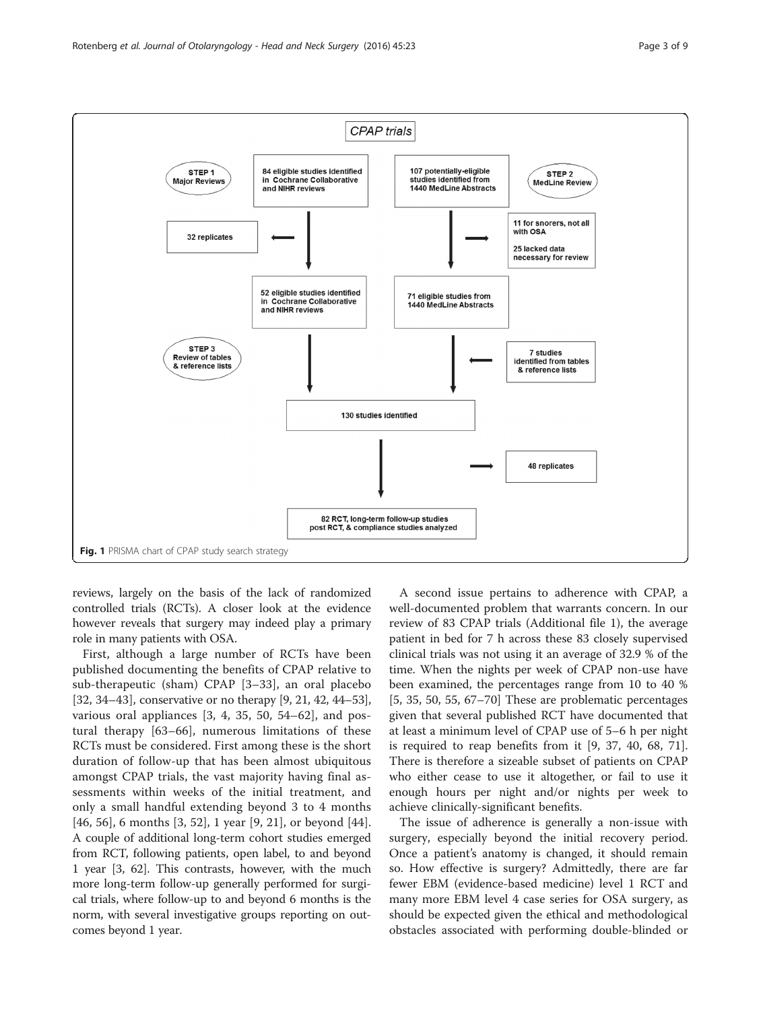<span id="page-2-0"></span>

reviews, largely on the basis of the lack of randomized controlled trials (RCTs). A closer look at the evidence however reveals that surgery may indeed play a primary role in many patients with OSA.

First, although a large number of RCTs have been published documenting the benefits of CPAP relative to sub-therapeutic (sham) CPAP [\[3](#page-5-0)–[33](#page-6-0)], an oral placebo [[32, 34](#page-6-0)–[43\]](#page-6-0), conservative or no therapy [[9](#page-5-0), [21, 42](#page-6-0), [44](#page-6-0)–[53](#page-6-0)], various oral appliances [[3, 4](#page-5-0), [35, 50, 54](#page-6-0)–[62](#page-7-0)], and postural therapy [\[63](#page-7-0)–[66\]](#page-7-0), numerous limitations of these RCTs must be considered. First among these is the short duration of follow-up that has been almost ubiquitous amongst CPAP trials, the vast majority having final assessments within weeks of the initial treatment, and only a small handful extending beyond 3 to 4 months [[46, 56](#page-6-0)], 6 months [[3,](#page-5-0) [52\]](#page-6-0), 1 year [[9,](#page-5-0) [21\]](#page-6-0), or beyond [\[44](#page-6-0)]. A couple of additional long-term cohort studies emerged from RCT, following patients, open label, to and beyond 1 year [[3,](#page-5-0) [62](#page-7-0)]. This contrasts, however, with the much more long-term follow-up generally performed for surgical trials, where follow-up to and beyond 6 months is the norm, with several investigative groups reporting on outcomes beyond 1 year.

A second issue pertains to adherence with CPAP, a well-documented problem that warrants concern. In our review of 83 CPAP trials (Additional file [1\)](#page-5-0), the average patient in bed for 7 h across these 83 closely supervised clinical trials was not using it an average of 32.9 % of the time. When the nights per week of CPAP non-use have been examined, the percentages range from 10 to 40 %  $[5, 35, 50, 55, 67-70]$  $[5, 35, 50, 55, 67-70]$  $[5, 35, 50, 55, 67-70]$  $[5, 35, 50, 55, 67-70]$  $[5, 35, 50, 55, 67-70]$  $[5, 35, 50, 55, 67-70]$  $[5, 35, 50, 55, 67-70]$  $[5, 35, 50, 55, 67-70]$  $[5, 35, 50, 55, 67-70]$  $[5, 35, 50, 55, 67-70]$  These are problematic percentages given that several published RCT have documented that at least a minimum level of CPAP use of 5–6 h per night is required to reap benefits from it [[9,](#page-5-0) [37](#page-6-0), [40,](#page-6-0) [68, 71](#page-7-0)]. There is therefore a sizeable subset of patients on CPAP who either cease to use it altogether, or fail to use it enough hours per night and/or nights per week to achieve clinically-significant benefits.

The issue of adherence is generally a non-issue with surgery, especially beyond the initial recovery period. Once a patient's anatomy is changed, it should remain so. How effective is surgery? Admittedly, there are far fewer EBM (evidence-based medicine) level 1 RCT and many more EBM level 4 case series for OSA surgery, as should be expected given the ethical and methodological obstacles associated with performing double-blinded or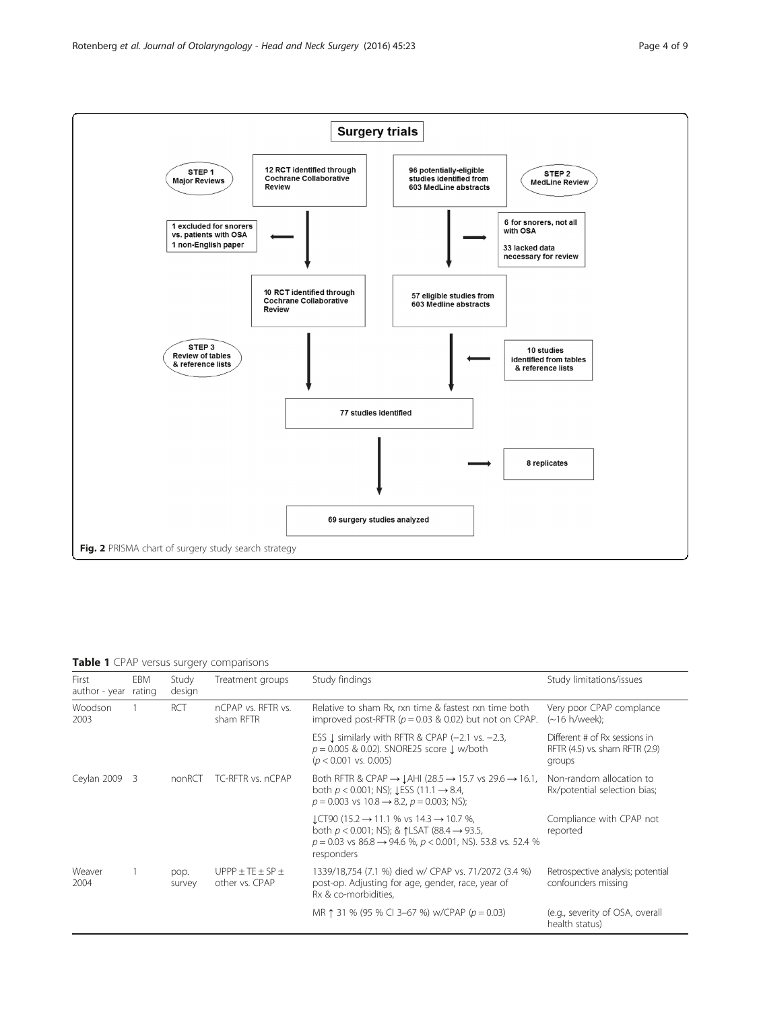<span id="page-3-0"></span>

#### Table 1 CPAP versus surgery comparisons

| First<br>author - year | EBM<br>rating | Study<br>design | Treatment groups                     | Study findings                                                                                                                                                                                                 | Study limitations/issues                                                  |
|------------------------|---------------|-----------------|--------------------------------------|----------------------------------------------------------------------------------------------------------------------------------------------------------------------------------------------------------------|---------------------------------------------------------------------------|
| Woodson<br>2003        |               | <b>RCT</b>      | nCPAP vs. RFTR vs.<br>sham RFTR      | Relative to sham Rx, rxn time & fastest rxn time both<br>improved post-RFTR ( $p = 0.03$ & 0.02) but not on CPAP.                                                                                              | Very poor CPAP complance<br>$(-16 h/$ week $):$                           |
|                        |               |                 |                                      | ESS $\downarrow$ similarly with RFTR & CPAP (-2.1 vs. -2.3,<br>$p = 0.005$ & 0.02). SNORE25 score $\downarrow$ w/both<br>$(p < 0.001$ vs. 0.005)                                                               | Different # of Rx sessions in<br>RFTR (4.5) vs. sham RFTR (2.9)<br>groups |
| Ceylan 2009            | - 3           | nonRCT          | TC-RFTR vs. nCPAP                    | Both RFTR & CPAP $\rightarrow$ LAHI (28.5 $\rightarrow$ 15.7 vs 29.6 $\rightarrow$ 16.1,<br>both $p < 0.001$ ; NS); LESS (11.1 $\rightarrow$ 8.4,<br>$p = 0.003$ vs 10.8 $\rightarrow$ 8.2, $p = 0.003$ ; NS); | Non-random allocation to<br>Rx/potential selection bias;                  |
|                        |               |                 |                                      | $\perp$ CT90 (15.2 → 11.1 % vs 14.3 → 10.7 %,<br>both $p < 0.001$ ; NS); & 1LSAT (88.4 $\rightarrow$ 93.5,<br>$p = 0.03$ vs 86.8 $\rightarrow$ 94.6 %, $p < 0.001$ , NS). 53.8 vs. 52.4 %<br>responders        | Compliance with CPAP not<br>reported                                      |
| Weaver<br>2004         |               | pop.<br>survey  | $UPPP + TF + SP +$<br>other vs. CPAP | 1339/18,754 (7.1 %) died w/ CPAP vs. 71/2072 (3.4 %)<br>post-op. Adjusting for age, gender, race, year of<br>Rx & co-morbidities,                                                                              | Retrospective analysis; potential<br>confounders missing                  |
|                        |               |                 |                                      | MR $\uparrow$ 31 % (95 % CI 3–67 %) w/CPAP ( $p = 0.03$ )                                                                                                                                                      | (e.g., severity of OSA, overall<br>health status)                         |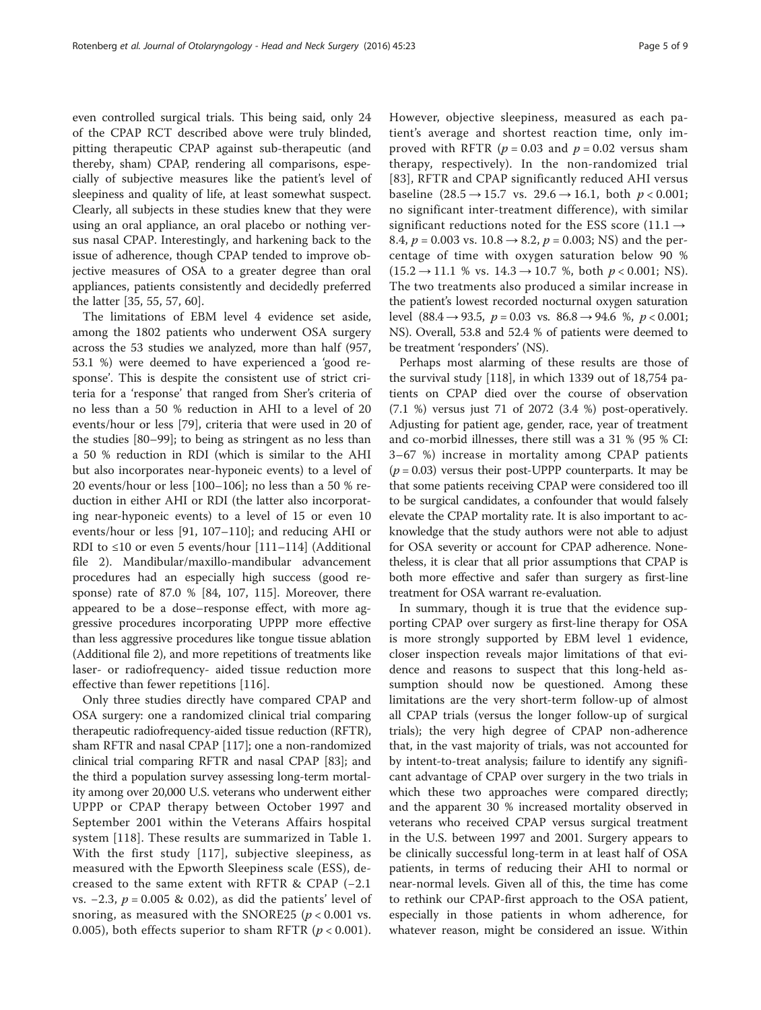even controlled surgical trials. This being said, only 24 of the CPAP RCT described above were truly blinded, pitting therapeutic CPAP against sub-therapeutic (and thereby, sham) CPAP, rendering all comparisons, especially of subjective measures like the patient's level of sleepiness and quality of life, at least somewhat suspect. Clearly, all subjects in these studies knew that they were using an oral appliance, an oral placebo or nothing versus nasal CPAP. Interestingly, and harkening back to the issue of adherence, though CPAP tended to improve objective measures of OSA to a greater degree than oral appliances, patients consistently and decidedly preferred the latter [[35, 55, 57, 60\]](#page-6-0).

The limitations of EBM level 4 evidence set aside, among the 1802 patients who underwent OSA surgery across the 53 studies we analyzed, more than half (957, 53.1 %) were deemed to have experienced a 'good response'. This is despite the consistent use of strict criteria for a 'response' that ranged from Sher's criteria of no less than a 50 % reduction in AHI to a level of 20 events/hour or less [\[79](#page-7-0)], criteria that were used in 20 of the studies [\[80](#page-7-0)–[99\]](#page-7-0); to being as stringent as no less than a 50 % reduction in RDI (which is similar to the AHI but also incorporates near-hyponeic events) to a level of 20 events/hour or less [\[100](#page-7-0)–[106\]](#page-7-0); no less than a 50 % reduction in either AHI or RDI (the latter also incorporating near-hyponeic events) to a level of 15 or even 10 events/hour or less [[91, 107](#page-7-0)–[110\]](#page-8-0); and reducing AHI or RDI to  $\leq 10$  or even 5 events/hour [[111](#page-8-0)–[114\]](#page-8-0) (Additional file [2](#page-5-0)). Mandibular/maxillo-mandibular advancement procedures had an especially high success (good response) rate of 87.0 % [[84, 107](#page-7-0), [115\]](#page-8-0). Moreover, there appeared to be a dose–response effect, with more aggressive procedures incorporating UPPP more effective than less aggressive procedures like tongue tissue ablation (Additional file [2\)](#page-5-0), and more repetitions of treatments like laser- or radiofrequency- aided tissue reduction more effective than fewer repetitions [[116\]](#page-8-0).

Only three studies directly have compared CPAP and OSA surgery: one a randomized clinical trial comparing therapeutic radiofrequency-aided tissue reduction (RFTR), sham RFTR and nasal CPAP [\[117](#page-8-0)]; one a non-randomized clinical trial comparing RFTR and nasal CPAP [[83\]](#page-7-0); and the third a population survey assessing long-term mortality among over 20,000 U.S. veterans who underwent either UPPP or CPAP therapy between October 1997 and September 2001 within the Veterans Affairs hospital system [[118](#page-8-0)]. These results are summarized in Table [1](#page-3-0). With the first study [\[117\]](#page-8-0), subjective sleepiness, as measured with the Epworth Sleepiness scale (ESS), decreased to the same extent with RFTR & CPAP (−2.1 vs.  $-2.3$ ,  $p = 0.005$  & 0.02), as did the patients' level of snoring, as measured with the SNORE25 ( $p < 0.001$  vs. 0.005), both effects superior to sham RFTR  $(p < 0.001)$ . However, objective sleepiness, measured as each patient's average and shortest reaction time, only improved with RFTR ( $p = 0.03$  and  $p = 0.02$  versus sham therapy, respectively). In the non-randomized trial [[83](#page-7-0)], RFTR and CPAP significantly reduced AHI versus baseline (28.5 → 15.7 vs. 29.6 → 16.1, both  $p < 0.001$ ; no significant inter-treatment difference), with similar significant reductions noted for the ESS score (11.1  $\rightarrow$ 8.4,  $p = 0.003$  vs.  $10.8 \rightarrow 8.2$ ,  $p = 0.003$ ; NS) and the percentage of time with oxygen saturation below 90 %  $(15.2 \rightarrow 11.1 \% \text{ vs. } 14.3 \rightarrow 10.7 \% \text{ both } p < 0.001; \text{ NS}).$ The two treatments also produced a similar increase in the patient's lowest recorded nocturnal oxygen saturation level (88.4→93.5,  $p = 0.03$  vs.  $86.8 \rightarrow 94.6$  %,  $p < 0.001$ ; NS). Overall, 53.8 and 52.4 % of patients were deemed to be treatment 'responders' (NS).

Perhaps most alarming of these results are those of the survival study [\[118](#page-8-0)], in which 1339 out of 18,754 patients on CPAP died over the course of observation (7.1 %) versus just 71 of 2072 (3.4 %) post-operatively. Adjusting for patient age, gender, race, year of treatment and co-morbid illnesses, there still was a 31 % (95 % CI: 3–67 %) increase in mortality among CPAP patients  $(p = 0.03)$  versus their post-UPPP counterparts. It may be that some patients receiving CPAP were considered too ill to be surgical candidates, a confounder that would falsely elevate the CPAP mortality rate. It is also important to acknowledge that the study authors were not able to adjust for OSA severity or account for CPAP adherence. Nonetheless, it is clear that all prior assumptions that CPAP is both more effective and safer than surgery as first-line treatment for OSA warrant re-evaluation.

In summary, though it is true that the evidence supporting CPAP over surgery as first-line therapy for OSA is more strongly supported by EBM level 1 evidence, closer inspection reveals major limitations of that evidence and reasons to suspect that this long-held assumption should now be questioned. Among these limitations are the very short-term follow-up of almost all CPAP trials (versus the longer follow-up of surgical trials); the very high degree of CPAP non-adherence that, in the vast majority of trials, was not accounted for by intent-to-treat analysis; failure to identify any significant advantage of CPAP over surgery in the two trials in which these two approaches were compared directly; and the apparent 30 % increased mortality observed in veterans who received CPAP versus surgical treatment in the U.S. between 1997 and 2001. Surgery appears to be clinically successful long-term in at least half of OSA patients, in terms of reducing their AHI to normal or near-normal levels. Given all of this, the time has come to rethink our CPAP-first approach to the OSA patient, especially in those patients in whom adherence, for whatever reason, might be considered an issue. Within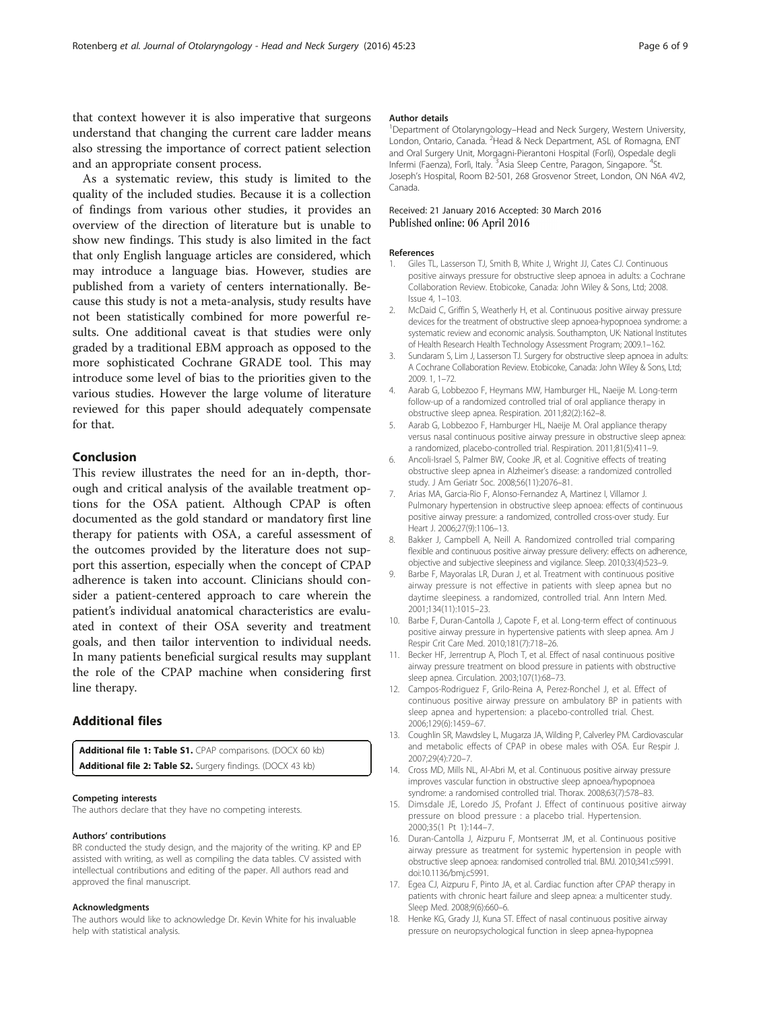<span id="page-5-0"></span>that context however it is also imperative that surgeons understand that changing the current care ladder means also stressing the importance of correct patient selection and an appropriate consent process.

As a systematic review, this study is limited to the quality of the included studies. Because it is a collection of findings from various other studies, it provides an overview of the direction of literature but is unable to show new findings. This study is also limited in the fact that only English language articles are considered, which may introduce a language bias. However, studies are published from a variety of centers internationally. Because this study is not a meta-analysis, study results have not been statistically combined for more powerful results. One additional caveat is that studies were only graded by a traditional EBM approach as opposed to the more sophisticated Cochrane GRADE tool. This may introduce some level of bias to the priorities given to the various studies. However the large volume of literature reviewed for this paper should adequately compensate for that.

#### Conclusion

This review illustrates the need for an in-depth, thorough and critical analysis of the available treatment options for the OSA patient. Although CPAP is often documented as the gold standard or mandatory first line therapy for patients with OSA, a careful assessment of the outcomes provided by the literature does not support this assertion, especially when the concept of CPAP adherence is taken into account. Clinicians should consider a patient-centered approach to care wherein the patient's individual anatomical characteristics are evaluated in context of their OSA severity and treatment goals, and then tailor intervention to individual needs. In many patients beneficial surgical results may supplant the role of the CPAP machine when considering first line therapy.

## Additional files

[Additional file 1: Table S1.](dx.doi.org/10.1186/s40463-016-0136-4) CPAP comparisons. (DOCX 60 kb) [Additional file 2: Table S2.](dx.doi.org/10.1186/s40463-016-0136-4) Surgery findings. (DOCX 43 kb)

#### Competing interests

The authors declare that they have no competing interests.

#### Authors' contributions

BR conducted the study design, and the majority of the writing. KP and EP assisted with writing, as well as compiling the data tables. CV assisted with intellectual contributions and editing of the paper. All authors read and approved the final manuscript.

#### Acknowledgments

The authors would like to acknowledge Dr. Kevin White for his invaluable help with statistical analysis.

#### Author details

<sup>1</sup>Department of Otolaryngology-Head and Neck Surgery, Western University, London, Ontario, Canada. <sup>2</sup> Head & Neck Department, ASL of Romagna, ENT and Oral Surgery Unit, Morgagni-Pierantoni Hospital (Forlì), Ospedale degli Infermi (Faenza), Forlì, Italy. <sup>3</sup>Asia Sleep Centre, Paragon, Singapore. <sup>4</sup>St. Joseph's Hospital, Room B2-501, 268 Grosvenor Street, London, ON N6A 4V2, Canada.

#### Received: 21 January 2016 Accepted: 30 March 2016 Published online: 06 April 2016

#### References

- 1. Giles TL, Lasserson TJ, Smith B, White J, Wright JJ, Cates CJ. Continuous positive airways pressure for obstructive sleep apnoea in adults: a Cochrane Collaboration Review. Etobicoke, Canada: John Wiley & Sons, Ltd; 2008. Issue 4, 1–103.
- 2. McDaid C, Griffin S, Weatherly H, et al. Continuous positive airway pressure devices for the treatment of obstructive sleep apnoea-hypopnoea syndrome: a systematic review and economic analysis. Southampton, UK: National Institutes of Health Research Health Technology Assessment Program; 2009.1–162.
- 3. Sundaram S, Lim J, Lasserson TJ. Surgery for obstructive sleep apnoea in adults: A Cochrane Collaboration Review. Etobicoke, Canada: John Wiley & Sons, Ltd; 2009. 1, 1–72.
- 4. Aarab G, Lobbezoo F, Heymans MW, Hamburger HL, Naeije M. Long-term follow-up of a randomized controlled trial of oral appliance therapy in obstructive sleep apnea. Respiration. 2011;82(2):162–8.
- 5. Aarab G, Lobbezoo F, Hamburger HL, Naeije M. Oral appliance therapy versus nasal continuous positive airway pressure in obstructive sleep apnea: a randomized, placebo-controlled trial. Respiration. 2011;81(5):411–9.
- 6. Ancoli-Israel S, Palmer BW, Cooke JR, et al. Cognitive effects of treating obstructive sleep apnea in Alzheimer's disease: a randomized controlled study. J Am Geriatr Soc. 2008;56(11):2076–81.
- 7. Arias MA, Garcia-Rio F, Alonso-Fernandez A, Martinez I, Villamor J. Pulmonary hypertension in obstructive sleep apnoea: effects of continuous positive airway pressure: a randomized, controlled cross-over study. Eur Heart J. 2006;27(9):1106–13.
- 8. Bakker J, Campbell A, Neill A. Randomized controlled trial comparing flexible and continuous positive airway pressure delivery: effects on adherence, objective and subjective sleepiness and vigilance. Sleep. 2010;33(4):523–9.
- 9. Barbe F, Mayoralas LR, Duran J, et al. Treatment with continuous positive airway pressure is not effective in patients with sleep apnea but no daytime sleepiness. a randomized, controlled trial. Ann Intern Med. 2001;134(11):1015–23.
- 10. Barbe F, Duran-Cantolla J, Capote F, et al. Long-term effect of continuous positive airway pressure in hypertensive patients with sleep apnea. Am J Respir Crit Care Med. 2010;181(7):718–26.
- 11. Becker HF, Jerrentrup A, Ploch T, et al. Effect of nasal continuous positive airway pressure treatment on blood pressure in patients with obstructive sleep apnea. Circulation. 2003;107(1):68–73.
- 12. Campos-Rodriguez F, Grilo-Reina A, Perez-Ronchel J, et al. Effect of continuous positive airway pressure on ambulatory BP in patients with sleep apnea and hypertension: a placebo-controlled trial. Chest. 2006;129(6):1459–67.
- 13. Coughlin SR, Mawdsley L, Mugarza JA, Wilding P, Calverley PM. Cardiovascular and metabolic effects of CPAP in obese males with OSA. Eur Respir J. 2007;29(4):720–7.
- 14. Cross MD, Mills NL, Al-Abri M, et al. Continuous positive airway pressure improves vascular function in obstructive sleep apnoea/hypopnoea syndrome: a randomised controlled trial. Thorax. 2008;63(7):578–83.
- 15. Dimsdale JE, Loredo JS, Profant J. Effect of continuous positive airway pressure on blood pressure : a placebo trial. Hypertension. 2000;35(1 Pt 1):144–7.
- 16. Duran-Cantolla J, Aizpuru F, Montserrat JM, et al. Continuous positive airway pressure as treatment for systemic hypertension in people with obstructive sleep apnoea: randomised controlled trial. BMJ. 2010;341:c5991. doi:[10.1136/bmj.c5991](http://dx.doi.org/10.1136/bmj.c5991).
- 17. Egea CJ, Aizpuru F, Pinto JA, et al. Cardiac function after CPAP therapy in patients with chronic heart failure and sleep apnea: a multicenter study. Sleep Med. 2008;9(6):660–6.
- 18. Henke KG, Grady JJ, Kuna ST. Effect of nasal continuous positive airway pressure on neuropsychological function in sleep apnea-hypopnea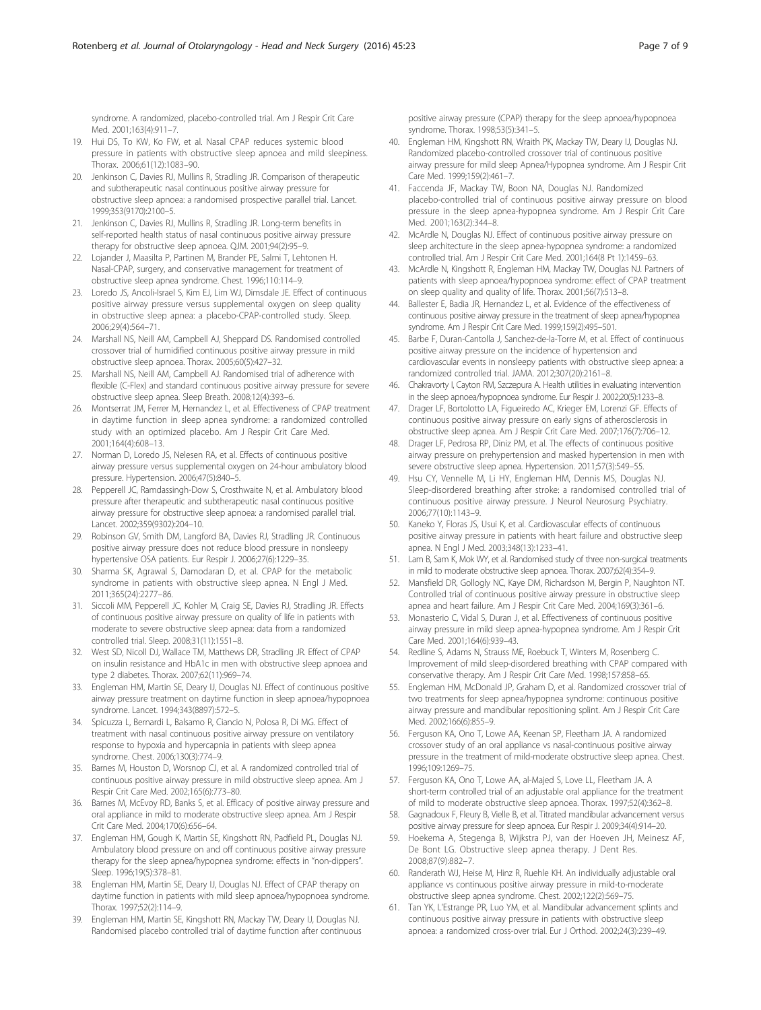<span id="page-6-0"></span>syndrome. A randomized, placebo-controlled trial. Am J Respir Crit Care Med. 2001;163(4):911–7.

- 19. Hui DS, To KW, Ko FW, et al. Nasal CPAP reduces systemic blood pressure in patients with obstructive sleep apnoea and mild sleepiness. Thorax. 2006;61(12):1083–90.
- 20. Jenkinson C, Davies RJ, Mullins R, Stradling JR. Comparison of therapeutic and subtherapeutic nasal continuous positive airway pressure for obstructive sleep apnoea: a randomised prospective parallel trial. Lancet. 1999;353(9170):2100–5.
- 21. Jenkinson C, Davies RJ, Mullins R, Stradling JR. Long-term benefits in self-reported health status of nasal continuous positive airway pressure therapy for obstructive sleep apnoea. QJM. 2001;94(2):95–9.
- 22. Lojander J, Maasilta P, Partinen M, Brander PE, Salmi T, Lehtonen H. Nasal-CPAP, surgery, and conservative management for treatment of obstructive sleep apnea syndrome. Chest. 1996;110:114–9.
- 23. Loredo JS, Ancoli-Israel S, Kim EJ, Lim WJ, Dimsdale JE. Effect of continuous positive airway pressure versus supplemental oxygen on sleep quality in obstructive sleep apnea: a placebo-CPAP-controlled study. Sleep. 2006;29(4):564–71.
- 24. Marshall NS, Neill AM, Campbell AJ, Sheppard DS. Randomised controlled crossover trial of humidified continuous positive airway pressure in mild obstructive sleep apnoea. Thorax. 2005;60(5):427–32.
- 25. Marshall NS, Neill AM, Campbell AJ. Randomised trial of adherence with flexible (C-Flex) and standard continuous positive airway pressure for severe obstructive sleep apnea. Sleep Breath. 2008;12(4):393–6.
- 26. Montserrat JM, Ferrer M, Hernandez L, et al. Effectiveness of CPAP treatment in daytime function in sleep apnea syndrome: a randomized controlled study with an optimized placebo. Am J Respir Crit Care Med. 2001;164(4):608–13.
- 27. Norman D, Loredo JS, Nelesen RA, et al. Effects of continuous positive airway pressure versus supplemental oxygen on 24-hour ambulatory blood pressure. Hypertension. 2006;47(5):840–5.
- 28. Pepperell JC, Ramdassingh-Dow S, Crosthwaite N, et al. Ambulatory blood pressure after therapeutic and subtherapeutic nasal continuous positive airway pressure for obstructive sleep apnoea: a randomised parallel trial. Lancet. 2002;359(9302):204–10.
- 29. Robinson GV, Smith DM, Langford BA, Davies RJ, Stradling JR. Continuous positive airway pressure does not reduce blood pressure in nonsleepy hypertensive OSA patients. Eur Respir J. 2006;27(6):1229–35.
- 30. Sharma SK, Agrawal S, Damodaran D, et al. CPAP for the metabolic syndrome in patients with obstructive sleep apnea. N Engl J Med. 2011;365(24):2277–86.
- 31. Siccoli MM, Pepperell JC, Kohler M, Craig SE, Davies RJ, Stradling JR. Effects of continuous positive airway pressure on quality of life in patients with moderate to severe obstructive sleep apnea: data from a randomized controlled trial. Sleep. 2008;31(11):1551–8.
- 32. West SD, Nicoll DJ, Wallace TM, Matthews DR, Stradling JR. Effect of CPAP on insulin resistance and HbA1c in men with obstructive sleep apnoea and type 2 diabetes. Thorax. 2007;62(11):969–74.
- 33. Engleman HM, Martin SE, Deary IJ, Douglas NJ. Effect of continuous positive airway pressure treatment on daytime function in sleep apnoea/hypopnoea syndrome. Lancet. 1994;343(8897):572–5.
- 34. Spicuzza L, Bernardi L, Balsamo R, Ciancio N, Polosa R, Di MG. Effect of treatment with nasal continuous positive airway pressure on ventilatory response to hypoxia and hypercapnia in patients with sleep apnea syndrome. Chest. 2006;130(3):774–9.
- 35. Barnes M, Houston D, Worsnop CJ, et al. A randomized controlled trial of continuous positive airway pressure in mild obstructive sleep apnea. Am J Respir Crit Care Med. 2002;165(6):773–80.
- 36. Barnes M, McEvoy RD, Banks S, et al. Efficacy of positive airway pressure and oral appliance in mild to moderate obstructive sleep apnea. Am J Respir Crit Care Med. 2004;170(6):656–64.
- 37. Engleman HM, Gough K, Martin SE, Kingshott RN, Padfield PL, Douglas NJ. Ambulatory blood pressure on and off continuous positive airway pressure therapy for the sleep apnea/hypopnea syndrome: effects in "non-dippers". Sleep. 1996;19(5):378–81.
- 38. Engleman HM, Martin SE, Deary IJ, Douglas NJ. Effect of CPAP therapy on daytime function in patients with mild sleep apnoea/hypopnoea syndrome. Thorax. 1997;52(2):114–9.
- 39. Engleman HM, Martin SE, Kingshott RN, Mackay TW, Deary IJ, Douglas NJ. Randomised placebo controlled trial of daytime function after continuous

positive airway pressure (CPAP) therapy for the sleep apnoea/hypopnoea syndrome. Thorax. 1998;53(5):341–5.

- 40. Engleman HM, Kingshott RN, Wraith PK, Mackay TW, Deary IJ, Douglas NJ. Randomized placebo-controlled crossover trial of continuous positive airway pressure for mild sleep Apnea/Hypopnea syndrome. Am J Respir Crit Care Med. 1999;159(2):461–7.
- 41. Faccenda JF, Mackay TW, Boon NA, Douglas NJ. Randomized placebo-controlled trial of continuous positive airway pressure on blood pressure in the sleep apnea-hypopnea syndrome. Am J Respir Crit Care Med. 2001;163(2):344–8.
- 42. McArdle N, Douglas NJ. Effect of continuous positive airway pressure on sleep architecture in the sleep apnea-hypopnea syndrome: a randomized controlled trial. Am J Respir Crit Care Med. 2001;164(8 Pt 1):1459–63.
- 43. McArdle N, Kingshott R, Engleman HM, Mackay TW, Douglas NJ. Partners of patients with sleep apnoea/hypopnoea syndrome: effect of CPAP treatment on sleep quality and quality of life. Thorax. 2001;56(7):513–8.
- 44. Ballester E, Badia JR, Hernandez L, et al. Evidence of the effectiveness of continuous positive airway pressure in the treatment of sleep apnea/hypopnea syndrome. Am J Respir Crit Care Med. 1999;159(2):495–501.
- 45. Barbe F, Duran-Cantolla J, Sanchez-de-la-Torre M, et al. Effect of continuous positive airway pressure on the incidence of hypertension and cardiovascular events in nonsleepy patients with obstructive sleep apnea: a randomized controlled trial. JAMA. 2012;307(20):2161–8.
- 46. Chakravorty I, Cayton RM, Szczepura A. Health utilities in evaluating intervention in the sleep apnoea/hypopnoea syndrome. Eur Respir J. 2002;20(5):1233–8.
- 47. Drager LF, Bortolotto LA, Figueiredo AC, Krieger EM, Lorenzi GF. Effects of continuous positive airway pressure on early signs of atherosclerosis in obstructive sleep apnea. Am J Respir Crit Care Med. 2007;176(7):706–12.
- 48. Drager LF, Pedrosa RP, Diniz PM, et al. The effects of continuous positive airway pressure on prehypertension and masked hypertension in men with severe obstructive sleep apnea. Hypertension. 2011;57(3):549–55.
- 49. Hsu CY, Vennelle M, Li HY, Engleman HM, Dennis MS, Douglas NJ. Sleep-disordered breathing after stroke: a randomised controlled trial of continuous positive airway pressure. J Neurol Neurosurg Psychiatry. 2006;77(10):1143–9.
- 50. Kaneko Y, Floras JS, Usui K, et al. Cardiovascular effects of continuous positive airway pressure in patients with heart failure and obstructive sleep apnea. N Engl J Med. 2003;348(13):1233–41.
- 51. Lam B, Sam K, Mok WY, et al. Randomised study of three non-surgical treatments in mild to moderate obstructive sleep apnoea. Thorax. 2007;62(4):354-9.
- 52. Mansfield DR, Gollogly NC, Kaye DM, Richardson M, Bergin P, Naughton NT. Controlled trial of continuous positive airway pressure in obstructive sleep apnea and heart failure. Am J Respir Crit Care Med. 2004;169(3):361–6.
- 53. Monasterio C, Vidal S, Duran J, et al. Effectiveness of continuous positive airway pressure in mild sleep apnea-hypopnea syndrome. Am J Respir Crit Care Med. 2001;164(6):939–43.
- 54. Redline S, Adams N, Strauss ME, Roebuck T, Winters M, Rosenberg C. Improvement of mild sleep-disordered breathing with CPAP compared with conservative therapy. Am J Respir Crit Care Med. 1998;157:858–65.
- 55. Engleman HM, McDonald JP, Graham D, et al. Randomized crossover trial of two treatments for sleep apnea/hypopnea syndrome: continuous positive airway pressure and mandibular repositioning splint. Am J Respir Crit Care Med. 2002;166(6):855–9.
- 56. Ferguson KA, Ono T, Lowe AA, Keenan SP, Fleetham JA. A randomized crossover study of an oral appliance vs nasal-continuous positive airway pressure in the treatment of mild-moderate obstructive sleep apnea. Chest. 1996;109:1269–75.
- 57. Ferguson KA, Ono T, Lowe AA, al-Majed S, Love LL, Fleetham JA. A short-term controlled trial of an adjustable oral appliance for the treatment of mild to moderate obstructive sleep apnoea. Thorax. 1997;52(4):362–8.
- 58. Gagnadoux F, Fleury B, Vielle B, et al. Titrated mandibular advancement versus positive airway pressure for sleep apnoea. Eur Respir J. 2009;34(4):914–20.
- 59. Hoekema A, Stegenga B, Wijkstra PJ, van der Hoeven JH, Meinesz AF, De Bont LG. Obstructive sleep apnea therapy. J Dent Res. 2008;87(9):882–7.
- 60. Randerath WJ, Heise M, Hinz R, Ruehle KH. An individually adjustable oral appliance vs continuous positive airway pressure in mild-to-moderate obstructive sleep apnea syndrome. Chest. 2002;122(2):569–75.
- 61. Tan YK, L'Estrange PR, Luo YM, et al. Mandibular advancement splints and continuous positive airway pressure in patients with obstructive sleep apnoea: a randomized cross-over trial. Eur J Orthod. 2002;24(3):239–49.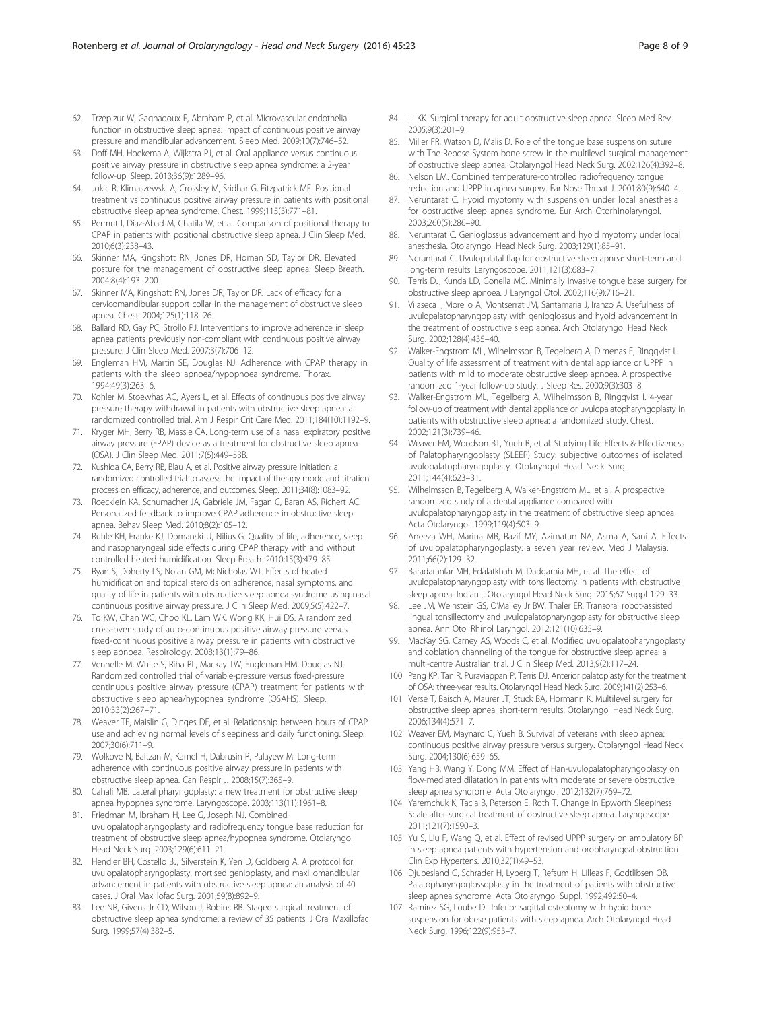- <span id="page-7-0"></span>62. Trzepizur W, Gagnadoux F, Abraham P, et al. Microvascular endothelial function in obstructive sleep apnea: Impact of continuous positive airway pressure and mandibular advancement. Sleep Med. 2009;10(7):746–52.
- 63. Doff MH, Hoekema A, Wijkstra PJ, et al. Oral appliance versus continuous positive airway pressure in obstructive sleep apnea syndrome: a 2-year follow-up. Sleep. 2013;36(9):1289–96.
- 64. Jokic R, Klimaszewski A, Crossley M, Sridhar G, Fitzpatrick MF. Positional treatment vs continuous positive airway pressure in patients with positional obstructive sleep apnea syndrome. Chest. 1999;115(3):771–81.
- 65. Permut I, Diaz-Abad M, Chatila W, et al. Comparison of positional therapy to CPAP in patients with positional obstructive sleep apnea. J Clin Sleep Med. 2010;6(3):238–43.
- 66. Skinner MA, Kingshott RN, Jones DR, Homan SD, Taylor DR. Elevated posture for the management of obstructive sleep apnea. Sleep Breath. 2004;8(4):193–200.
- 67. Skinner MA, Kingshott RN, Jones DR, Taylor DR. Lack of efficacy for a cervicomandibular support collar in the management of obstructive sleep apnea. Chest. 2004;125(1):118–26.
- 68. Ballard RD, Gay PC, Strollo PJ. Interventions to improve adherence in sleep apnea patients previously non-compliant with continuous positive airway pressure. J Clin Sleep Med. 2007;3(7):706–12.
- 69. Engleman HM, Martin SE, Douglas NJ. Adherence with CPAP therapy in patients with the sleep apnoea/hypopnoea syndrome. Thorax. 1994;49(3):263–6.
- 70. Kohler M, Stoewhas AC, Ayers L, et al. Effects of continuous positive airway pressure therapy withdrawal in patients with obstructive sleep apnea: a randomized controlled trial. Am J Respir Crit Care Med. 2011;184(10):1192–9.
- 71. Kryger MH, Berry RB, Massie CA. Long-term use of a nasal expiratory positive airway pressure (EPAP) device as a treatment for obstructive sleep apnea (OSA). J Clin Sleep Med. 2011;7(5):449–53B.
- 72. Kushida CA, Berry RB, Blau A, et al. Positive airway pressure initiation: a randomized controlled trial to assess the impact of therapy mode and titration process on efficacy, adherence, and outcomes. Sleep. 2011;34(8):1083–92.
- 73. Roecklein KA, Schumacher JA, Gabriele JM, Fagan C, Baran AS, Richert AC. Personalized feedback to improve CPAP adherence in obstructive sleep apnea. Behav Sleep Med. 2010;8(2):105–12.
- 74. Ruhle KH, Franke KJ, Domanski U, Nilius G. Quality of life, adherence, sleep and nasopharyngeal side effects during CPAP therapy with and without controlled heated humidification. Sleep Breath. 2010;15(3):479–85.
- 75. Ryan S, Doherty LS, Nolan GM, McNicholas WT. Effects of heated humidification and topical steroids on adherence, nasal symptoms, and quality of life in patients with obstructive sleep apnea syndrome using nasal continuous positive airway pressure. J Clin Sleep Med. 2009;5(5):422–7.
- 76. To KW, Chan WC, Choo KL, Lam WK, Wong KK, Hui DS. A randomized cross-over study of auto-continuous positive airway pressure versus fixed-continuous positive airway pressure in patients with obstructive sleep apnoea. Respirology. 2008;13(1):79–86.
- 77. Vennelle M, White S, Riha RL, Mackay TW, Engleman HM, Douglas NJ. Randomized controlled trial of variable-pressure versus fixed-pressure continuous positive airway pressure (CPAP) treatment for patients with obstructive sleep apnea/hypopnea syndrome (OSAHS). Sleep. 2010;33(2):267–71.
- 78. Weaver TE, Maislin G, Dinges DF, et al. Relationship between hours of CPAP use and achieving normal levels of sleepiness and daily functioning. Sleep. 2007;30(6):711–9.
- 79. Wolkove N, Baltzan M, Kamel H, Dabrusin R, Palayew M. Long-term adherence with continuous positive airway pressure in patients with obstructive sleep apnea. Can Respir J. 2008;15(7):365–9.
- 80. Cahali MB. Lateral pharyngoplasty: a new treatment for obstructive sleep apnea hypopnea syndrome. Laryngoscope. 2003;113(11):1961–8.
- 81. Friedman M, Ibraham H, Lee G, Joseph NJ. Combined uvulopalatopharyngoplasty and radiofrequency tongue base reduction for treatment of obstructive sleep apnea/hypopnea syndrome. Otolaryngol Head Neck Surg. 2003;129(6):611–21.
- 82. Hendler BH, Costello BJ, Silverstein K, Yen D, Goldberg A. A protocol for uvulopalatopharyngoplasty, mortised genioplasty, and maxillomandibular advancement in patients with obstructive sleep apnea: an analysis of 40 cases. J Oral Maxillofac Surg. 2001;59(8):892–9.
- 83. Lee NR, Givens Jr CD, Wilson J, Robins RB. Staged surgical treatment of obstructive sleep apnea syndrome: a review of 35 patients. J Oral Maxillofac Surg. 1999;57(4):382–5.
- 84. Li KK. Surgical therapy for adult obstructive sleep apnea. Sleep Med Rev. 2005;9(3):201–9.
- 85. Miller FR, Watson D, Malis D. Role of the tongue base suspension suture with The Repose System bone screw in the multilevel surgical management of obstructive sleep apnea. Otolaryngol Head Neck Surg. 2002;126(4):392–8.
- 86. Nelson LM. Combined temperature-controlled radiofrequency tongue reduction and UPPP in apnea surgery. Ear Nose Throat J. 2001;80(9):640–4.
- 87. Neruntarat C. Hyoid myotomy with suspension under local anesthesia for obstructive sleep apnea syndrome. Eur Arch Otorhinolaryngol. 2003;260(5):286–90.
- 88. Neruntarat C. Genioglossus advancement and hyoid myotomy under local anesthesia. Otolaryngol Head Neck Surg. 2003;129(1):85–91.
- 89. Neruntarat C. Uvulopalatal flap for obstructive sleep apnea: short-term and long-term results. Laryngoscope. 2011;121(3):683–7.
- 90. Terris DJ, Kunda LD, Gonella MC. Minimally invasive tongue base surgery for obstructive sleep apnoea. J Laryngol Otol. 2002;116(9):716–21.
- 91. Vilaseca I, Morello A, Montserrat JM, Santamaria J, Iranzo A. Usefulness of uvulopalatopharyngoplasty with genioglossus and hyoid advancement in the treatment of obstructive sleep apnea. Arch Otolaryngol Head Neck Surg. 2002;128(4):435–40.
- 92. Walker-Engstrom ML, Wilhelmsson B, Tegelberg A, Dimenas E, Ringqvist I. Quality of life assessment of treatment with dental appliance or UPPP in patients with mild to moderate obstructive sleep apnoea. A prospective randomized 1-year follow-up study. J Sleep Res. 2000;9(3):303–8.
- 93. Walker-Engstrom ML, Tegelberg A, Wilhelmsson B, Ringqvist I. 4-year follow-up of treatment with dental appliance or uvulopalatopharyngoplasty in patients with obstructive sleep apnea: a randomized study. Chest. 2002;121(3):739–46.
- Weaver EM, Woodson BT, Yueh B, et al. Studying Life Effects & Effectiveness of Palatopharyngoplasty (SLEEP) Study: subjective outcomes of isolated uvulopalatopharyngoplasty. Otolaryngol Head Neck Surg. 2011;144(4):623–31.
- 95. Wilhelmsson B, Tegelberg A, Walker-Engstrom ML, et al. A prospective randomized study of a dental appliance compared with uvulopalatopharyngoplasty in the treatment of obstructive sleep apnoea. Acta Otolaryngol. 1999;119(4):503–9.
- 96. Aneeza WH, Marina MB, Razif MY, Azimatun NA, Asma A, Sani A. Effects of uvulopalatopharyngoplasty: a seven year review. Med J Malaysia. 2011;66(2):129–32.
- 97. Baradaranfar MH, Edalatkhah M, Dadgarnia MH, et al. The effect of uvulopalatopharyngoplasty with tonsillectomy in patients with obstructive sleep apnea. Indian J Otolaryngol Head Neck Surg. 2015;67 Suppl 1:29–33.
- Lee JM, Weinstein GS, O'Malley Jr BW, Thaler ER. Transoral robot-assisted lingual tonsillectomy and uvulopalatopharyngoplasty for obstructive sleep apnea. Ann Otol Rhinol Laryngol. 2012;121(10):635–9.
- 99. MacKay SG, Carney AS, Woods C, et al. Modified uvulopalatopharyngoplasty and coblation channeling of the tongue for obstructive sleep apnea: a multi-centre Australian trial. J Clin Sleep Med. 2013;9(2):117–24.
- 100. Pang KP, Tan R, Puraviappan P, Terris DJ. Anterior palatoplasty for the treatment of OSA: three-year results. Otolaryngol Head Neck Surg. 2009;141(2):253–6.
- 101. Verse T, Baisch A, Maurer JT, Stuck BA, Hormann K. Multilevel surgery for obstructive sleep apnea: short-term results. Otolaryngol Head Neck Surg. 2006;134(4):571–7.
- 102. Weaver EM, Maynard C, Yueh B. Survival of veterans with sleep apnea: continuous positive airway pressure versus surgery. Otolaryngol Head Neck Surg. 2004;130(6):659–65.
- 103. Yang HB, Wang Y, Dong MM. Effect of Han-uvulopalatopharyngoplasty on flow-mediated dilatation in patients with moderate or severe obstructive sleep apnea syndrome. Acta Otolaryngol. 2012;132(7):769–72.
- 104. Yaremchuk K, Tacia B, Peterson E, Roth T. Change in Epworth Sleepiness Scale after surgical treatment of obstructive sleep apnea. Laryngoscope. 2011;121(7):1590–3.
- 105. Yu S, Liu F, Wang Q, et al. Effect of revised UPPP surgery on ambulatory BP in sleep apnea patients with hypertension and oropharyngeal obstruction. Clin Exp Hypertens. 2010;32(1):49–53.
- 106. Djupesland G, Schrader H, Lyberg T, Refsum H, Lilleas F, Godtlibsen OB. Palatopharyngoglossoplasty in the treatment of patients with obstructive sleep apnea syndrome. Acta Otolaryngol Suppl. 1992;492:50–4.
- 107. Ramirez SG, Loube DI. Inferior sagittal osteotomy with hyoid bone suspension for obese patients with sleep apnea. Arch Otolaryngol Head Neck Surg. 1996;122(9):953–7.